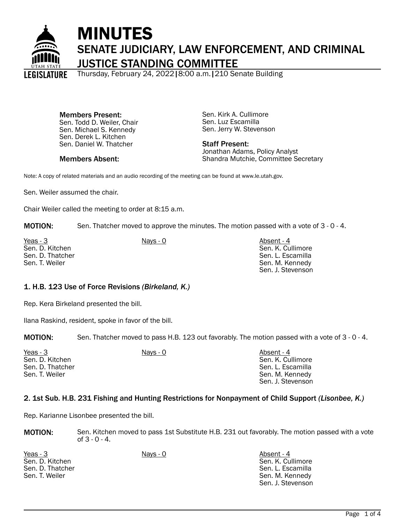

# MINUTES SENATE JUDICIARY, LAW ENFORCEMENT, AND CRIMINAL JUSTICE STANDING COMMITTEE

Thursday, February 24, 2022|8:00 a.m.|210 Senate Building

Members Present: Sen. Todd D. Weiler, Chair Sen. Michael S. Kennedy Sen. Derek L. Kitchen Sen. Daniel W. Thatcher

Members Absent:

Sen. Kirk A. Cullimore Sen. Luz Escamilla Sen. Jerry W. Stevenson

Staff Present: Jonathan Adams, Policy Analyst Shandra Mutchie, Committee Secretary

Note: A copy of related materials and an audio recording of the meeting can be found at www.le.utah.gov.

Sen. Weiler assumed the chair.

Chair Weiler called the meeting to order at 8:15 a.m.

MOTION: Sen. Thatcher moved to approve the minutes. The motion passed with a vote of 3 - 0 - 4.

Yeas - 3 Nays - 0 Nays - 0 Nays - 0 Absent - 4 Sen. D. Kitchen Sen. D. Thatcher Sen. T. Weiler

Sen. K. Cullimore Sen. L. Escamilla Sen. M. Kennedy Sen. J. Stevenson

# 1. H.B. 123 Use of Force Revisions *(Birkeland, K.)*

Rep. Kera Birkeland presented the bill.

Ilana Raskind, resident, spoke in favor of the bill.

MOTION: Sen. Thatcher moved to pass H.B. 123 out favorably. The motion passed with a vote of 3 - 0 - 4.

| Yeas - 3         | Nays - 0 | Absent - 4        |
|------------------|----------|-------------------|
| Sen. D. Kitchen  |          | Sen. K. Cullimore |
| Sen. D. Thatcher |          | Sen. L. Escamilla |
| Sen. T. Weiler   |          | Sen. M. Kennedy   |
|                  |          | Sen. J. Stevenson |

#### 2. 1st Sub. H.B. 231 Fishing and Hunting Restrictions for Nonpayment of Child Support *(Lisonbee, K.)*

Rep. Karianne Lisonbee presented the bill.

| <b>MOTION:</b> | Sen. Kitchen moved to pass 1st Substitute H.B. 231 out favorably. The motion passed with a vote |
|----------------|-------------------------------------------------------------------------------------------------|
|                | of $3 - 0 - 4$ .                                                                                |

Yeas - 3 Nays - 0 Nays - 0 Nays - 0 Absent - 4 Sen. D. Kitchen Sen. D. Thatcher Sen. T. Weiler

Sen. K. Cullimore Sen. L. Escamilla Sen. M. Kennedy Sen. J. Stevenson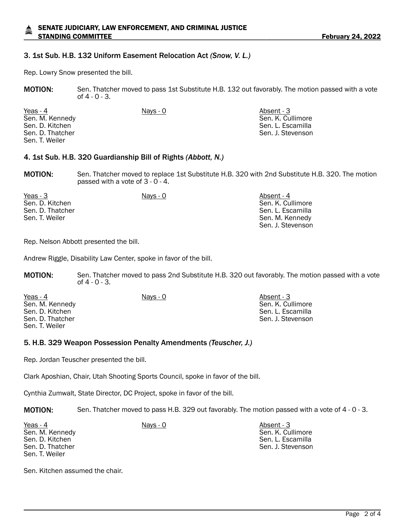#### SENATE JUDICIARY, LAW ENFORCEMENT, AND CRIMINAL JUSTICE STANDING COMMITTEE **Fig. 10.22** STANDING COMMITTEE

#### 3. 1st Sub. H.B. 132 Uniform Easement Relocation Act *(Snow, V. L.)*

Rep. Lowry Snow presented the bill.

MOTION: Sen. Thatcher moved to pass 1st Substitute H.B. 132 out favorably. The motion passed with a vote of  $4 - 0 - 3$ .

Yeas - 4 Nays - 0 Nays - 0 Absent - 3 Sen. M. Kennedy Sen. D. Kitchen Sen. D. Thatcher Sen. T. Weiler

Sen. K. Cullimore Sen. L. Escamilla Sen. J. Stevenson

#### 4. 1st Sub. H.B. 320 Guardianship Bill of Rights *(Abbott, N.)*

MOTION: Sen. Thatcher moved to replace 1st Substitute H.B. 320 with 2nd Substitute H.B. 320. The motion passed with a vote of 3 - 0 - 4.

| Yeas - 3         | Nays - 0 | Absent - 4        |
|------------------|----------|-------------------|
| Sen. D. Kitchen  |          | Sen. K. Cullimore |
| Sen. D. Thatcher |          | Sen. L. Escamilla |
| Sen. T. Weiler   |          | Sen. M. Kennedy   |
|                  |          | Sen. J. Stevenson |

Rep. Nelson Abbott presented the bill.

Andrew Riggle, Disability Law Center, spoke in favor of the bill.

MOTION: Sen. Thatcher moved to pass 2nd Substitute H.B. 320 out favorably. The motion passed with a vote of 4 - 0 - 3.

Yeas - 4 Nays - 0 Nays - 0 Absent - 3 Sen. M. Kennedy Sen. D. Kitchen Sen. D. Thatcher Sen. T. Weiler

Sen. K. Cullimore Sen. L. Escamilla Sen. J. Stevenson

#### 5. H.B. 329 Weapon Possession Penalty Amendments *(Teuscher, J.)*

Rep. Jordan Teuscher presented the bill.

Clark Aposhian, Chair, Utah Shooting Sports Council, spoke in favor of the bill.

Cynthia Zumwalt, State Director, DC Project, spoke in favor of the bill.

MOTION: Sen. Thatcher moved to pass H.B. 329 out favorably. The motion passed with a vote of 4 - 0 - 3.

Yeas - 4 Nays - 0 Nays - 0 Absent - 3 Sen. M. Kennedy Sen. D. Kitchen Sen. D. Thatcher Sen. T. Weiler

Sen. K. Cullimore Sen. L. Escamilla Sen. J. Stevenson

Sen. Kitchen assumed the chair.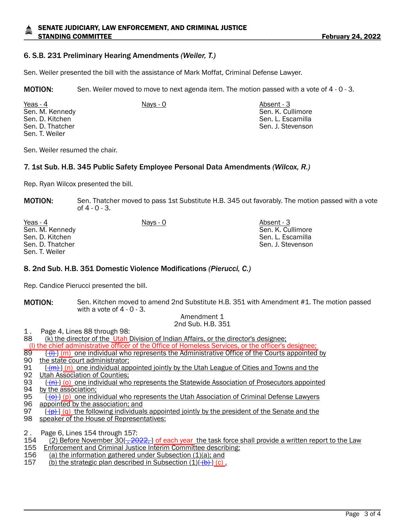# SENATE JUDICIARY, LAW ENFORCEMENT, AND CRIMINAL JUSTICE STANDING COMMITTEE **Fig. 10.22** STANDING COMMITTEE

# 6. S.B. 231 Preliminary Hearing Amendments *(Weiler, T.)*

Sen. Weiler presented the bill with the assistance of Mark Moffat, Criminal Defense Lawyer.

MOTION: Sen. Weiler moved to move to next agenda item. The motion passed with a vote of 4 - 0 - 3.

Yeas - 4 Nays - 0 Nays - 0 Absent - 3 Sen. M. Kennedy Sen. D. Kitchen Sen. D. Thatcher Sen. T. Weiler

Sen. K. Cullimore Sen. L. Escamilla Sen. J. Stevenson

Sen. Weiler resumed the chair.

#### 7. 1st Sub. H.B. 345 Public Safety Employee Personal Data Amendments *(Wilcox, R.)*

Rep. Ryan Wilcox presented the bill.

**MOTION:** Sen. Thatcher moved to pass 1st Substitute H.B. 345 out favorably. The motion passed with a vote of  $4 - 0 - 3$ .

| Yeas - 4         | Nays - 0 | Absent - 3        |
|------------------|----------|-------------------|
| Sen. M. Kennedy  |          | Sen. K. Cullimore |
| Sen. D. Kitchen  |          | Sen. L. Escamilla |
| Sen. D. Thatcher |          | Sen. J. Stevenson |
| Sen. T. Weiler   |          |                   |

#### 8. 2nd Sub. H.B. 351 Domestic Violence Modifications *(Pierucci, C.)*

Rep. Candice Pierucci presented the bill.

**MOTION:** Sen. Kitchen moved to amend 2nd Substitute H.B. 351 with Amendment #1. The motion passed with a vote of  $4 - 0 - 3$ .

#### Amendment 1 2nd Sub. H.B. 351

1. Page 4, Lines 88 through 98:<br>88 (k) the director of the Utah I

(k) the director of the Utah Division of Indian Affairs, or the director's designee:

(I) the chief administrative officer of the Office of Homeless Services, or the officer's designee;<br>89  $\{(\dagger) \}$  (m) one individual who represents the Administrative Office of the Courts appointed

- 89  $\frac{(\{l\})}{\{m\}}$  one individual who represents the Administrative Office of the Courts appointed by <br>90 the state court administrator:
- 90 the state court administrator;<br>91  $\frac{f(m)}{m}$  (n) one individual approximate
- $\{\{m\}\}\$ (n) one individual appointed jointly by the Utah League of Cities and Towns and the 92 Utah Association of Counties;<br>93 <del>((n)</del> (o) one individual who
- $\{\hat{n}\}\$ (o) one individual who represents the Statewide Association of Prosecutors appointed 94 by the association;<br>95  $\frac{(-6)}{10}$  (p) one ind
- 95  $\left[\frac{(\theta)}{(\theta)}\right]$  one individual who represents the Utah Association of Criminal Defense Lawyers 96 appointed by the association; and appointed by the association; and
- 97  $\{\frac{(p)}{(q)}\}$  (q) the following individuals appointed jointly by the president of the Senate and the
- 98 speaker of the House of Representatives:
- 2 . Page 6, Lines 154 through 157:<br>154 (2) Before November 30{-20
- 154 (2) Before November 30<del>(, 2022, )</del> of each year the task force shall provide a written report to the Law 155 Enforcement and Criminal Justice Interim Committee describing:
- **Enforcement and Criminal Justice Interim Committee describing:**
- 156 (a) the information gathered under Subsection  $(1)(a)$ ; and
- 157 (b) the strategic plan described in Subsection  $(1)\{\overline{(b)}\}$  (c).